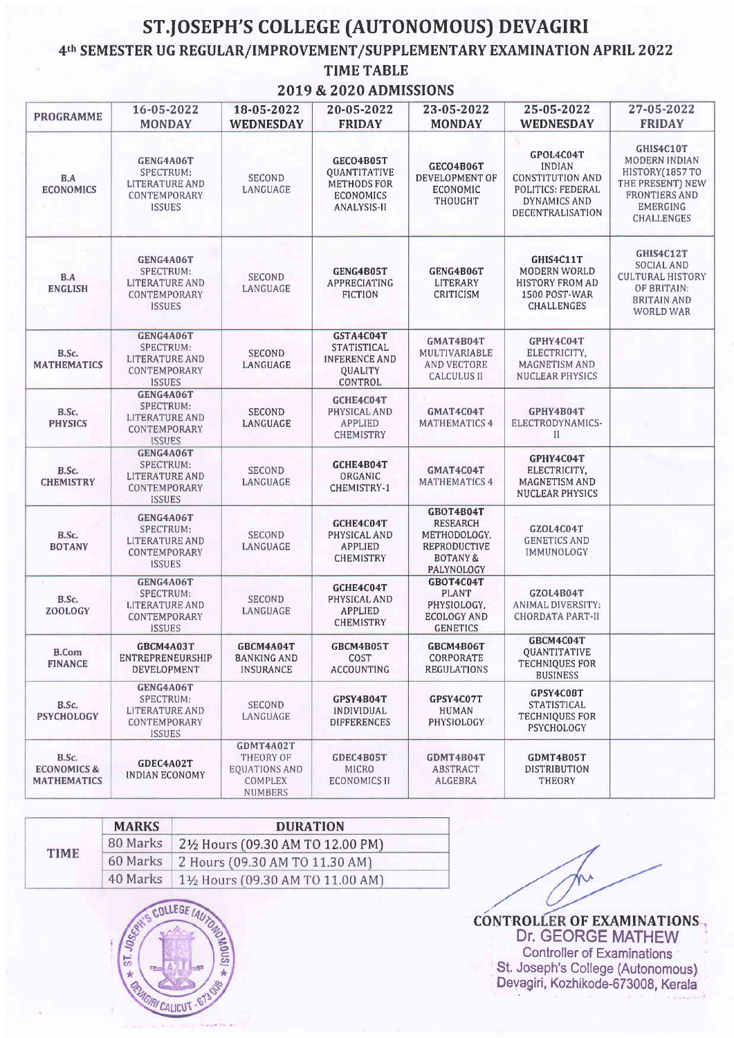## ST.JOSEPH'S COLLEGE (AUTONOMOUS) DEVAGIRI

4<sup>th</sup> SEMESTER UG REGULAR/IMPROVEMENT/SUPPLEMENTARY EXAMINATION APRIL 2022

## **TIME TABLE**

2019 & 2020 ADMISSIONS

| <b>PROGRAMME</b>                                      | 16-05-2022<br><b>MONDAY</b>                                                      | 18-05-2022<br><b>WEDNESDAY</b>                                       | 20-05-2022<br><b>FRIDAY</b>                                                          | 23-05-2022<br><b>MONDAY</b>                                                                       | 25-05-2022<br>WEDNESDAY                                                                                        | 27-05-2022<br><b>FRIDAY</b>                                                                                               |
|-------------------------------------------------------|----------------------------------------------------------------------------------|----------------------------------------------------------------------|--------------------------------------------------------------------------------------|---------------------------------------------------------------------------------------------------|----------------------------------------------------------------------------------------------------------------|---------------------------------------------------------------------------------------------------------------------------|
| B.A<br><b>ECONOMICS</b>                               | <b>GENG4A06T</b><br>SPECTRUM:<br>LITERATURE AND<br>CONTEMPORARY<br><b>ISSUES</b> | <b>SECOND</b><br>LANGUAGE                                            | GECO4B05T<br><b>OUANTITATIVE</b><br>METHODS FOR<br><b>ECONOMICS</b><br>ANALYSIS-II   | GECO4B06T<br>DEVELOPMENT OF<br>ECONOMIC<br>THOUGHT                                                | GPOL4C04T<br><b>INDIAN</b><br><b>CONSTITUTION AND</b><br>POLITICS: FEDERAL<br>DYNAMICS AND<br>DECENTRALISATION | GHIS4C10T<br>MODERN INDIAN<br>HISTORY(1857TO<br>THE PRESENT) NEW<br>FRONTIERS AND<br><b>EMERGING</b><br><b>CHALLENGES</b> |
| B.A<br><b>ENGLISH</b>                                 | GENG4A06T<br>SPECTRUM:<br>LITERATURE AND<br>CONTEMPORARY<br><b>ISSUES</b>        | SECOND<br>LANGUAGE                                                   | GENG4B05T<br>APPRECIATING<br><b>FICTION</b>                                          | GENG4B06T<br>LITERARY<br>CRITICISM                                                                | GHIS4C11T<br><b>MODERN WORLD</b><br>HISTORY FROM AD<br>1500 POST-WAR<br><b>CHALLENGES</b>                      | GHIS4C12T<br><b>SOCIAL AND</b><br><b>CULTURAL HISTORY</b><br>OF BRITAIN:<br>BRITAIN AND<br>WORLD WAR                      |
| B.Sc.<br><b>MATHEMATICS</b>                           | GENG4A06T<br>SPECTRUM:<br>LITERATURE AND<br>CONTEMPORARY<br><b>ISSUES</b>        | SECOND<br>LANGUAGE                                                   | GSTA4C04T<br><b>STATISTICAL</b><br><b>INFERENCE AND</b><br><b>QUALITY</b><br>CONTROL | GMAT4B04T<br>MULTIVARIABLE<br>AND VECTORE<br><b>CALCULUS II</b>                                   | GPHY4C04T<br>ELECTRICITY,<br>MAGNETISM AND<br>NUCLEAR PHYSICS                                                  |                                                                                                                           |
| B.Sc.<br><b>PHYSICS</b>                               | GENG4A06T<br>SPECTRUM:<br>LITERATURE AND<br>CONTEMPORARY<br><b>ISSUES</b>        | SECOND<br>LANGUAGE                                                   | GCHE4C04T<br>PHYSICAL AND<br><b>APPLIED</b><br><b>CHEMISTRY</b>                      | GMAT4C04T<br><b>MATHEMATICS 4</b>                                                                 | GPHY4B04T<br>ELECTRODYNAMICS-<br>П                                                                             |                                                                                                                           |
| B.Sc.<br><b>CHEMISTRY</b>                             | GENG4A06T<br>SPECTRUM:<br>LITERATURE AND<br>CONTEMPORARY<br><b>ISSUES</b>        | SECOND<br>LANGUAGE                                                   | GCHE4B04T<br>ORGANIC<br>CHEMISTRY-1                                                  | GMAT4C04T<br><b>MATHEMATICS 4</b>                                                                 | GPHY4C04T<br>ELECTRICITY,<br>MAGNETISM AND<br>NUCLEAR PHYSICS                                                  |                                                                                                                           |
| B.Sc.<br><b>BOTANY</b>                                | GENG4A06T<br>SPECTRUM:<br>LITERATURE AND<br>CONTEMPORARY<br><b>ISSUES</b>        | <b>SECOND</b><br>LANGUAGE                                            | GCHE4C04T<br>PHYSICAL AND<br>APPLIED<br>CHEMISTRY                                    | GBOT4B04T<br><b>RESEARCH</b><br>METHODOLOGY,<br>REPRODUCTIVE<br><b>BOTANY &amp;</b><br>PALYNOLOGY | GZOL4C04T<br><b>GENETICS AND</b><br>IMMUNOLOGY                                                                 |                                                                                                                           |
| B.Sc.<br><b>ZOOLOGY</b>                               | GENG4A06T<br>SPECTRUM:<br>LITERATURE AND<br>CONTEMPORARY<br><b>ISSUES</b>        | <b>SECOND</b><br>LANGUAGE                                            | GCHE4C04T<br>PHYSICAL AND<br><b>APPLIED</b><br>CHEMISTRY                             | GBOT4C04T<br><b>PLANT</b><br>PHYSIOLOGY,<br>ECOLOGY AND<br><b>GENETICS</b>                        | GZOL4B04T<br>ANIMAL DIVERSITY:<br><b>CHORDATA PART-II</b>                                                      |                                                                                                                           |
| B.Com<br><b>FINANCE</b>                               | GBCM4A03T<br>ENTREPRENEURSHIP<br>DEVELOPMENT                                     | GBCM4A04T<br>BANKING AND<br>INSURANCE                                | GBCM4B05T<br>COST<br>ACCOUNTING                                                      | GBCM4B06T<br>CORPORATE<br><b>REGULATIONS</b>                                                      | GBCM4C04T<br>QUANTITATIVE<br>TECHNIQUES FOR<br><b>BUSINESS</b>                                                 |                                                                                                                           |
| B.Sc.<br><b>PSYCHOLOGY</b>                            | GENG4A06T<br>SPECTRUM:<br>LITERATURE AND<br>CONTEMPORARY<br><b>ISSUES</b>        | SECOND<br>LANGUAGE                                                   | GPSY4B04T<br><i><b>INDIVIDUAL</b></i><br><b>DIFFERENCES</b>                          | GPSY4C07T<br>HUMAN<br>PHYSIOLOGY                                                                  | GPSY4C08T<br>STATISTICAL<br>TECHNIQUES FOR<br>PSYCHOLOGY                                                       |                                                                                                                           |
| B.Sc.<br><b>ECONOMICS &amp;</b><br><b>MATHEMATICS</b> | GDEC4A02T<br><b>INDIAN ECONOMY</b>                                               | GDMT4A02T<br>THEORY OF<br>EQUATIONS AND<br>COMPLEX<br><b>NUMBERS</b> | GDEC4B05T<br><b>MICRO</b><br><b>ECONOMICS II</b>                                     | GDMT4B04T<br>ABSTRACT<br>ALGEBRA                                                                  | GDMT4B05T<br><b>DISTRIBUTION</b><br>THEORY                                                                     |                                                                                                                           |

|             | <b>MARKS</b> | <b>DURATION</b>                 |  |  |
|-------------|--------------|---------------------------------|--|--|
|             | 80 Marks     | 2½ Hours (09.30 AM TO 12.00 PM) |  |  |
| <b>TIME</b> | 60 Marks     | 2 Hours (09.30 AM TO 11.30 AM)  |  |  |
|             | 40 Marks     | 1½ Hours (09.30 AM TO 11.00 AM) |  |  |



**CONTROLLER OF EXAMINATIONS**<br>Dr. GEORGE MATHEW **Controller of Examinations** St. Joseph's College (Autonomous)<br>Devagiri, Kozhikode-673008, Kerala